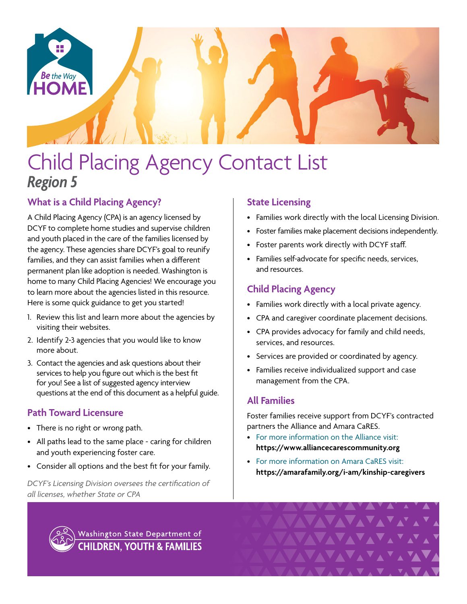

# Child Placing Agency Contact List *Region 5*

# **What is a Child Placing Agency?**

A Child Placing Agency (CPA) is an agency licensed by DCYF to complete home studies and supervise children and youth placed in the care of the families licensed by the agency. These agencies share DCYF's goal to reunify families, and they can assist families when a different permanent plan like adoption is needed. Washington is home to many Child Placing Agencies! We encourage you to learn more about the agencies listed in this resource. Here is some quick guidance to get you started!

- 1. Review this list and learn more about the agencies by visiting their websites.
- 2. Identify 2-3 agencies that you would like to know more about.
- 3. Contact the agencies and ask questions about their services to help you figure out which is the best fit for you! See a list of suggested agency interview questions at the end of this document as a helpful guide.

# **Path Toward Licensure**

- There is no right or wrong path.
- All paths lead to the same place caring for children and youth experiencing foster care.
- Consider all options and the best fit for your family.

*DCYF's Licensing Division oversees the certification of all licenses, whether State or CPA*

# **State Licensing**

- Families work directly with the local Licensing Division.
- Foster families make placement decisions independently.
- Foster parents work directly with DCYF staff.
- Families self-advocate for specific needs, services, and resources.

# **Child Placing Agency**

- Families work directly with a local private agency.
- CPA and caregiver coordinate placement decisions.
- CPA provides advocacy for family and child needs, services, and resources.
- Services are provided or coordinated by agency.
- Families receive individualized support and case management from the CPA.

# **All Families**

Foster families receive support from DCYF's contracted partners the Alliance and Amara CaRES.

- For more information on the Alliance visit: **<https://www.alliancecarescommunity.org>**
- For more information on Amara CaRES visit: **[https://amarafamily.org/i-am/kinship-caregivers](https://amarafamily.org/i-am/kinship-caregivers/)**

Washington State Department of **CHILDREN, YOUTH & FAMILIES**  **AVAVAV**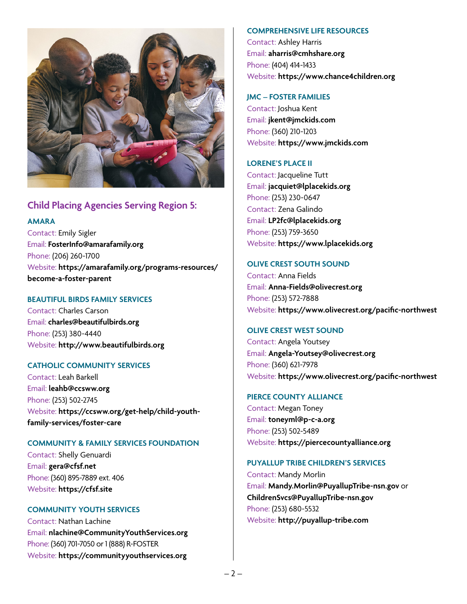

# **Child Placing Agencies Serving Region 5:**

#### **AMARA**

Contact: Emily Sigler Email: **[FosterInfo@amarafamily.org](mailto:FosterInfo%40amarafamily.org?subject=)** Phone: (206) 260-1700 Website: **[https://amarafamily.org/programs-resources/](https://amarafamily.org/programs-resources/become-a-foster-parent
) [become-a-foster-parent](https://amarafamily.org/programs-resources/become-a-foster-parent
)**

## **BEAUTIFUL BIRDS FAMILY SERVICES**

Contact: Charles Carson Email: **[charles@beautifulbirds.org](mailto:charles%40beautifulbirds.org?subject=)** Phone: (253) 380-4440 Website: **<http://www.beautifulbirds.org>**

#### **CATHOLIC COMMUNITY SERVICES**

Contact: Leah Barkell Email: **[leahb@ccsww.org](mailto:leahb%40ccsww.org?subject=)** Phone: (253) 502-2745 Website: **[https://ccsww.org/get-help/child-youth](https://ccsww.org/get-help/child-youth-family-services/foster-care)[family-services/foster-care](https://ccsww.org/get-help/child-youth-family-services/foster-care)**

#### **COMMUNITY & FAMILY SERVICES FOUNDATION**

Contact: Shelly Genuardi Email: **[gera@cfsf.net](mailto:gera%40cfsf.net?subject=)** Phone: (360) 895-7889 ext. 406 Website: **<https://cfsf.site>**

## **COMMUNITY YOUTH SERVICES**

Contact: Nathan Lachine Email: **[nlachine@CommunityYouthServices.org](mailto:nlachine%40CommunityYouthServices.org?subject=)** Phone: (360) 701-7050 or 1 (888) R-FOSTER Website: **<https://communityyouthservices.org>**

#### **COMPREHENSIVE LIFE RESOURCES**

Contact: Ashley Harris Email: **[aharris@cmhshare.org](mailto:aharris%40cmhshare.org?subject=)** Phone: (404) 414-1433 Website: **<https://www.chance4children.org>**

#### **JMC – FOSTER FAMILIES**

Contact: Joshua Kent Email: **[jkent@jmckids.com](mailto:jkent%40jmckids.com?subject=)** Phone: (360) 210-1203 Website: **<https://www.jmckids.com>**

## **LORENE'S PLACE II**

Contact: Jacqueline Tutt Email: **[jacquiet@lplacekids.org](mailto:jacquiet%40lplacekids.org?subject=)** Phone: (253) 230-0647 Contact: Zena Galindo Email: **[LP2fc@lplacekids.org](mailto:LP2fc%40lplacekids.org?subject=)** Phone: (253) 759-3650 Website: **<https://www.lplacekids.org>**

#### **OLIVE CREST SOUTH SOUND**

Contact: Anna Fields Email: **[Anna-Fields@olivecrest.org](mailto:Anna-Fields%40olivecrest.org?subject=)** Phone: (253) 572-7888 Website: **<https://www.olivecrest.org/pacific-northwest>**

## **OLIVE CREST WEST SOUND**

Contact: Angela Youtsey Email: **[Angela-Youtsey@olivecrest.org](mailto:Angela-Youtsey%40olivecrest.org?subject=)** Phone: (360) 621-7978 Website: **<https://www.olivecrest.org/pacific-northwest>**

#### **PIERCE COUNTY ALLIANCE**

Contact: Megan Toney Email: **[toneyml@p-c-a.org](mailto:toneyml%40p-c-a.org?subject=)** Phone: (253) 502-5489 Website: **<https://piercecountyalliance.org>**

## **PUYALLUP TRIBE CHILDREN'S SERVICES**

Contact: Mandy Morlin Email: **[Mandy.Morlin@PuyallupTribe-nsn.gov](mailto:Mandy.Morlin%40PuyallupTribe-nsn.gov?subject=)** or **[ChildrenSvcs@PuyallupTribe-nsn.gov](mailto:ChildrenSvcs%40PuyallupTribe-nsn.gov?subject=)** Phone: (253) 680-5532 Website: **<http://puyallup-tribe.com>**